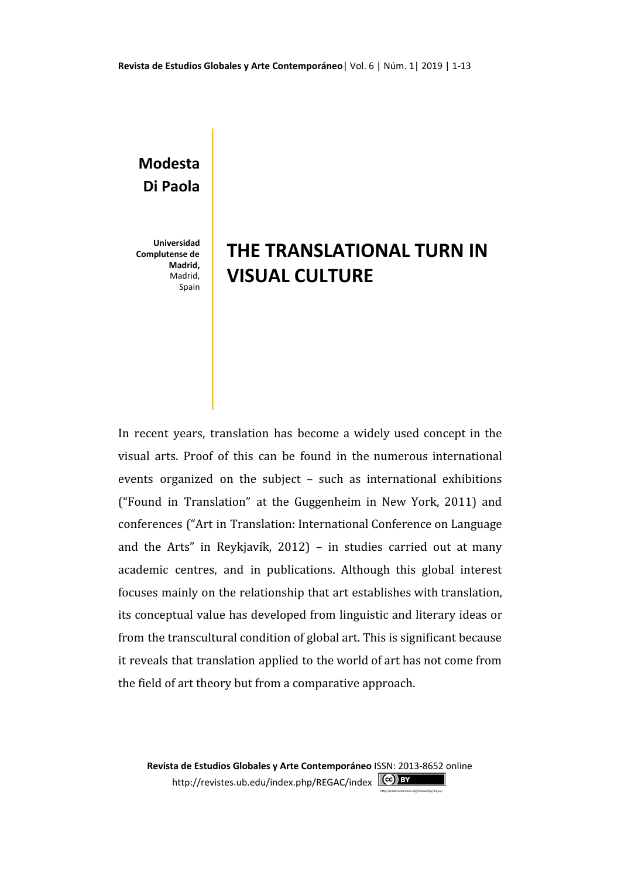## **Modesta Di Paola**

**Universidad Complutense de Madrid,** Madrid, Spain

## **THE TRANSLATIONAL TURN IN VISUAL CULTURE**

In recent years, translation has become a widely used concept in the visual arts. Proof of this can be found in the numerous international events organized on the subject – such as international exhibitions ("Found in Translation" at the Guggenheim in New York, 2011) and conferences ("Art in Translation: International Conference on Language and the Arts" in Reykjavík, 2012) – in studies carried out at many academic centres, and in publications. Although this global interest focuses mainly on the relationship that art establishes with translation, its conceptual value has developed from linguistic and literary ideas or from the transcultural condition of global art. This is significant because it reveals that translation applied to the world of art has not come from the field of art theory but from a comparative approach.

**Revista de Estudios Globales y Arte Contemporáneo** ISSN: 2013-8652 online <http://revistes.ub.edu/index.php/REGAC/index> (cc) BY

[http://creativecommons.org/licenses/by/3.0/es/](https://correu.edau.ub.edu/owa/redir.aspx?C=560a5b2e2efa4a50ad5372da3e16fe73&URL=http%3a%2f%2fcreativecommons.org%2flicenses%2fby%2f3.0%2fes%2f)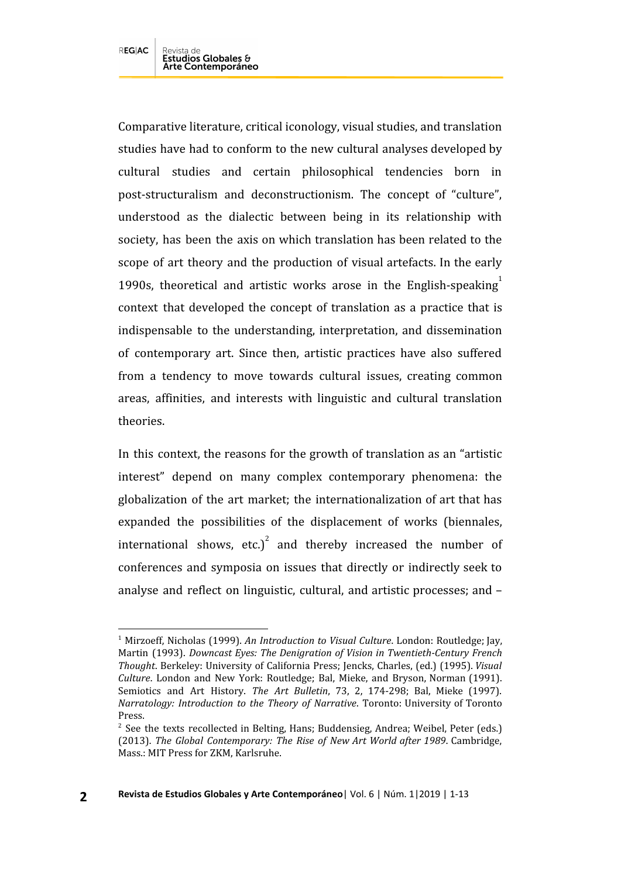Comparative literature, critical iconology, visual studies, and translation studies have had to conform to the new cultural analyses developed by cultural studies and certain philosophical tendencies born in post-structuralism and deconstructionism. The concept of "culture", understood as the dialectic between being in its relationship with society, has been the axis on which translation has been related to the scope of art theory and the production of visual artefacts. In the early 1990s, theoretical and artistic works arose in the English-speaking $^1$ context that developed the concept of translation as a practice that is indispensable to the understanding, interpretation, and dissemination of contemporary art. Since then, artistic practices have also suffered from a tendency to move towards cultural issues, creating common areas, affinities, and interests with linguistic and cultural translation theories.

In this context, the reasons for the growth of translation as an "artistic interest" depend on many complex contemporary phenomena: the globalization of the art market; the internationalization of art that has expanded the possibilities of the displacement of works (biennales, international shows, etc.)<sup>2</sup> and thereby increased the number of conferences and symposia on issues that directly or indirectly seek to analyse and reflect on linguistic, cultural, and artistic processes; and –

<sup>1</sup> Mirzoeff, Nicholas (1999). *An Introduction to Visual Culture*. London: Routledge; Jay, Martin (1993). *Downcast Eyes: The Denigration of Vision in Twentieth-Century French Thought*. Berkeley: University of California Press; Jencks, Charles, (ed.) (1995). *Visual Culture*. London and New York: Routledge; Bal, Mieke, and Bryson, Norman (1991). Semiotics and Art History. *The Art Bulletin*, 73, 2, 174-298; Bal, Mieke (1997). *Narratology: Introduction to the Theory of Narrative*. Toronto: University of Toronto Press.

<sup>&</sup>lt;sup>2</sup> See the texts recollected in Belting, Hans; Buddensieg, Andrea; Weibel, Peter (eds.) (2013). *The Global Contemporary: The Rise of New Art World after 1989*. Cambridge, Mass.: MIT Press for ZKM, Karlsruhe.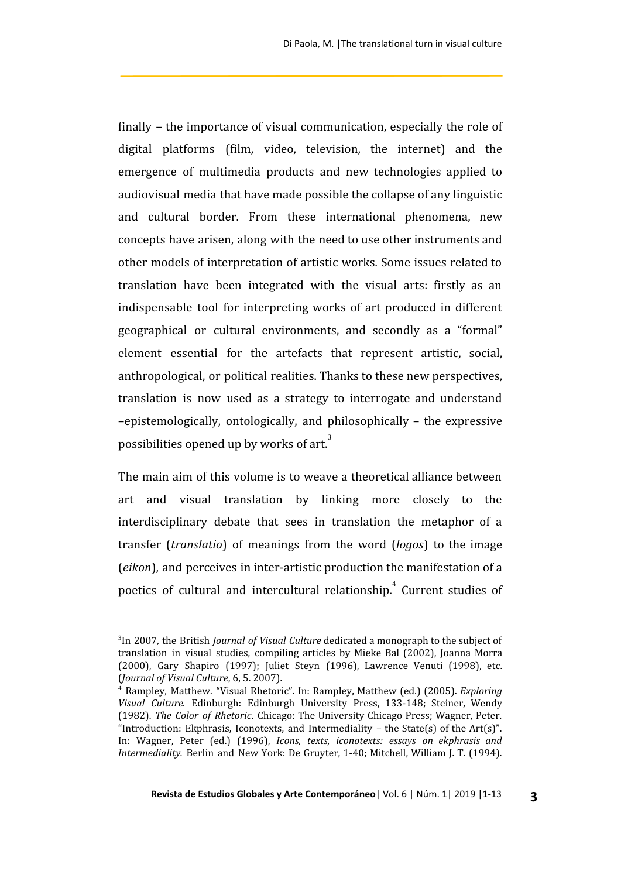finally – the importance of visual communication, especially the role of digital platforms (film, video, television, the internet) and the emergence of multimedia products and new technologies applied to audiovisual media that have made possible the collapse of any linguistic and cultural border. From these international phenomena, new concepts have arisen, along with the need to use other instruments and other models of interpretation of artistic works. Some issues related to translation have been integrated with the visual arts: firstly as an indispensable tool for interpreting works of art produced in different geographical or cultural environments, and secondly as a "formal" element essential for the artefacts that represent artistic, social, anthropological, or political realities. Thanks to these new perspectives, translation is now used as a strategy to interrogate and understand –epistemologically, ontologically, and philosophically – the expressive possibilities opened up by works of art. $3$ 

The main aim of this volume is to weave a theoretical alliance between art and visual translation by linking more closely to the interdisciplinary debate that sees in translation the metaphor of a transfer (*translatio*) of meanings from the word (*logos*) to the image (*eikon*), and perceives in inter-artistic production the manifestation of a poetics of cultural and intercultural relationship.<sup>4</sup> Current studies of

<sup>3</sup> In 2007, the British *Journal of Visual Culture* dedicated a monograph to the subject of translation in visual studies, compiling articles by Mieke Bal (2002), Joanna Morra (2000), Gary Shapiro (1997); Juliet Steyn (1996), Lawrence Venuti (1998), etc. (*Journal of Visual Culture*, 6, 5. 2007).

<sup>4</sup> Rampley, Matthew. "Visual Rhetoric". In: Rampley, Matthew (ed.) (2005). *Exploring Visual Culture.* Edinburgh: Edinburgh University Press, 133-148; Steiner, Wendy (1982). *The Color of Rhetoric*. Chicago: The University Chicago Press; Wagner, Peter. "Introduction: Ekphrasis, Iconotexts, and Intermediality – the State(s) of the Art(s)". In: Wagner, Peter (ed.) (1996), *Icons, texts, iconotexts: essays on ekphrasis and Intermediality.* Berlin and New York: De Gruyter, 1-40; Mitchell, William J. T. (1994).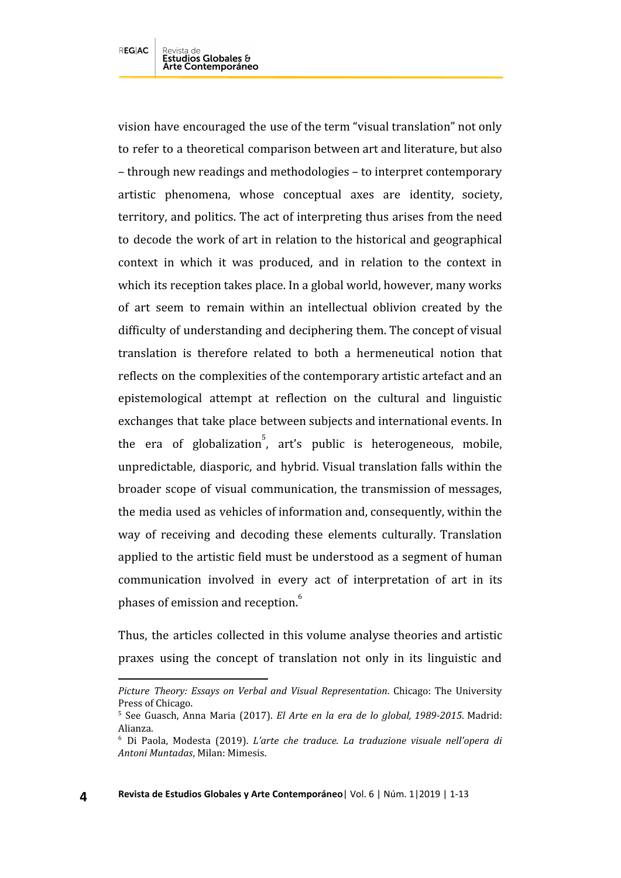vision have encouraged the use of the term "visual translation" not only to refer to a theoretical comparison between art and literature, but also – through new readings and methodologies – to interpret contemporary artistic phenomena, whose conceptual axes are identity, society, territory, and politics. The act of interpreting thus arises from the need to decode the work of art in relation to the historical and geographical context in which it was produced, and in relation to the context in which its reception takes place. In a global world, however, many works of art seem to remain within an intellectual oblivion created by the difficulty of understanding and deciphering them. The concept of visual translation is therefore related to both a hermeneutical notion that reflects on the complexities of the contemporary artistic artefact and an epistemological attempt at reflection on the cultural and linguistic exchanges that take place between subjects and international events. In the era of globalization<sup>5</sup>, art's public is heterogeneous, mobile, unpredictable, diasporic, and hybrid. Visual translation falls within the broader scope of visual communication, the transmission of messages, the media used as vehicles of information and, consequently, within the way of receiving and decoding these elements culturally. Translation applied to the artistic field must be understood as a segment of human communication involved in every act of interpretation of art in its phases of emission and reception.<sup>6</sup>

Thus, the articles collected in this volume analyse theories and artistic praxes using the concept of translation not only in its linguistic and

*Picture Theory: Essays on Verbal and Visual Representation*. Chicago: The University Press of Chicago.

<sup>5</sup> See Guasch, Anna Maria (2017). *El Arte en la era de lo global, 1989-2015*. Madrid: Alianza.

<sup>6</sup> Di Paola, Modesta (2019). *L'arte che traduce. La traduzione visuale nell'opera di Antoni Muntadas*, Milan: Mimesis.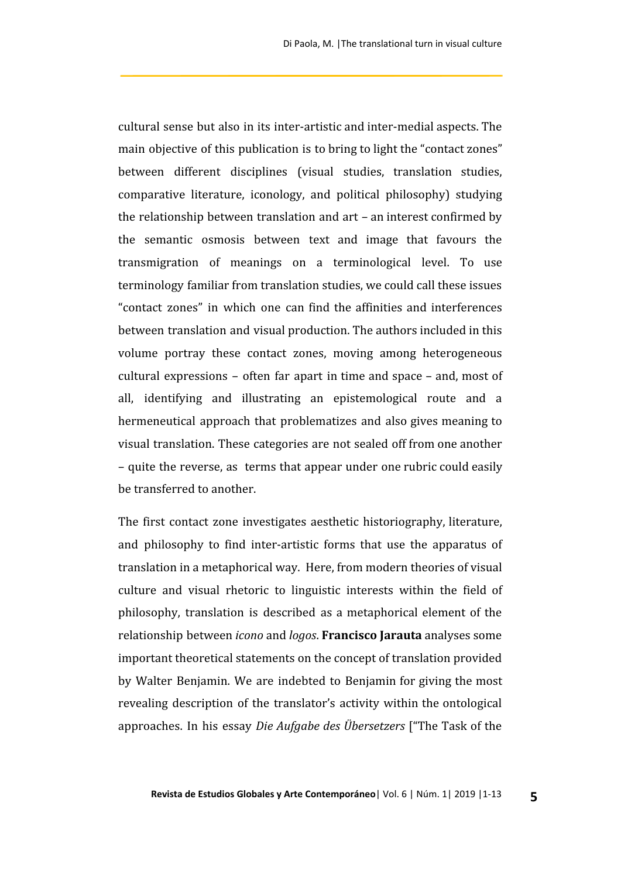cultural sense but also in its inter-artistic and inter-medial aspects. The main objective of this publication is to bring to light the "contact zones" between different disciplines (visual studies, translation studies, comparative literature, iconology, and political philosophy) studying the relationship between translation and art – an interest confirmed by the semantic osmosis between text and image that favours the transmigration of meanings on a terminological level. To use terminology familiar from translation studies, we could call these issues "contact zones" in which one can find the affinities and interferences between translation and visual production. The authors included in this volume portray these contact zones, moving among heterogeneous cultural expressions – often far apart in time and space – and, most of all, identifying and illustrating an epistemological route and a hermeneutical approach that problematizes and also gives meaning to visual translation. These categories are not sealed off from one another – quite the reverse, as terms that appear under one rubric could easily be transferred to another.

The first contact zone investigates aesthetic historiography, literature, and philosophy to find inter-artistic forms that use the apparatus of translation in a metaphorical way. Here, from modern theories of visual culture and visual rhetoric to linguistic interests within the field of philosophy, translation is described as a metaphorical element of the relationship between *icono* and *logos*. **Francisco Jarauta** analyses some important theoretical statements on the concept of translation provided by Walter Benjamin. We are indebted to Benjamin for giving the most revealing description of the translator's activity within the ontological approaches. In his essay *Die Aufgabe des Übersetzers* ["The Task of the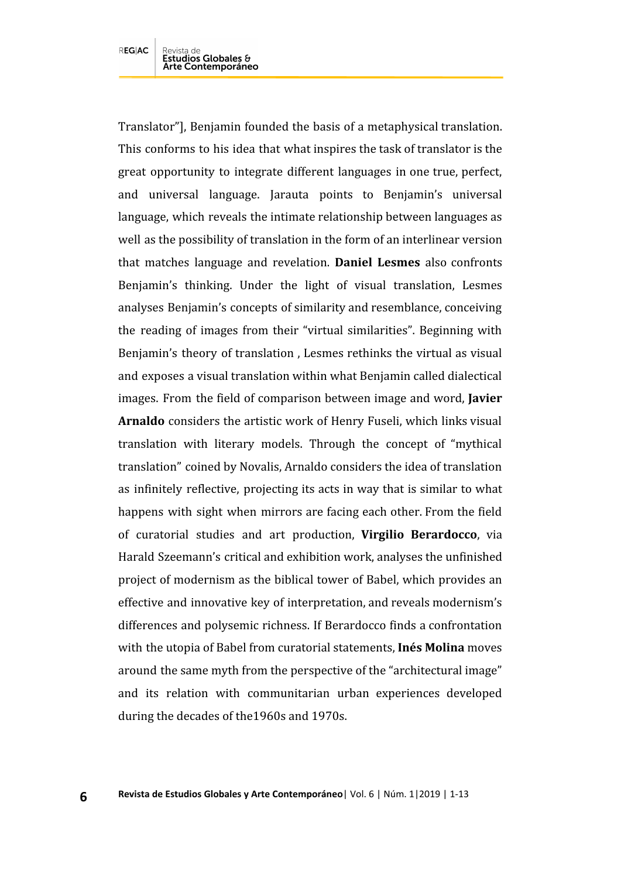**6**

Translator"], Benjamin founded the basis of a metaphysical translation. This conforms to his idea that what inspires the task of translator is the great opportunity to integrate different languages in one true, perfect, and universal language. Jarauta points to Benjamin's universal language, which reveals the intimate relationship between languages as well as the possibility of translation in the form of an interlinear version that matches language and revelation. **Daniel Lesmes** also confronts Benjamin's thinking. Under the light of visual translation, Lesmes analyses Benjamin's concepts of similarity and resemblance, conceiving the reading of images from their "virtual similarities". Beginning with Benjamin's theory of translation , Lesmes rethinks the virtual as visual and exposes a visual translation within what Benjamin called dialectical images. From the field of comparison between image and word, **Javier Arnaldo** considers the artistic work of Henry Fuseli, which links visual translation with literary models. Through the concept of "mythical translation" coined by Novalis, Arnaldo considers the idea of translation as infinitely reflective, projecting its acts in way that is similar to what happens with sight when mirrors are facing each other. From the field of curatorial studies and art production, **Virgilio Berardocco**, via Harald Szeemann's critical and exhibition work, analyses the unfinished project of modernism as the biblical tower of Babel, which provides an effective and innovative key of interpretation, and reveals modernism's differences and polysemic richness. If Berardocco finds a confrontation with the utopia of Babel from curatorial statements, **Inés Molina** moves around the same myth from the perspective of the "architectural image" and its relation with communitarian urban experiences developed during the decades of the1960s and 1970s.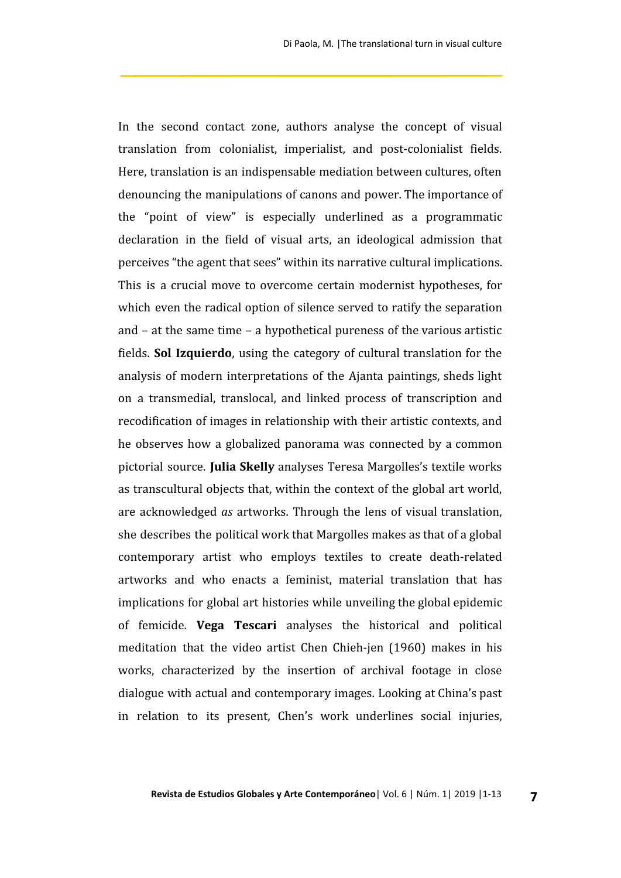In the second contact zone, authors analyse the concept of visual translation from colonialist, imperialist, and post-colonialist fields. Here, translation is an indispensable mediation between cultures, often denouncing the manipulations of canons and power. The importance of the "point of view" is especially underlined as a programmatic declaration in the field of visual arts, an ideological admission that perceives "the agent that sees" within its narrative cultural implications. This is a crucial move to overcome certain modernist hypotheses, for which even the radical option of silence served to ratify the separation and – at the same time – a hypothetical pureness of the various artistic fields. **Sol Izquierdo**, using the category of cultural translation for the analysis of modern interpretations of the Ajanta paintings, sheds light on a transmedial, translocal, and linked process of transcription and recodification of images in relationship with their artistic contexts, and he observes how a globalized panorama was connected by a common pictorial source. **Julia Skelly** analyses Teresa Margolles's textile works as transcultural objects that, within the context of the global art world, are acknowledged *as* artworks. Through the lens of visual translation, she describes the political work that Margolles makes as that of a global contemporary artist who employs textiles to create death-related artworks and who enacts a feminist, material translation that has implications for global art histories while unveiling the global epidemic of femicide. **Vega Tescari** analyses the historical and political meditation that the video artist Chen Chieh-jen (1960) makes in his works, characterized by the insertion of archival footage in close dialogue with actual and contemporary images. Looking at China's past in relation to its present, Chen's work underlines social injuries,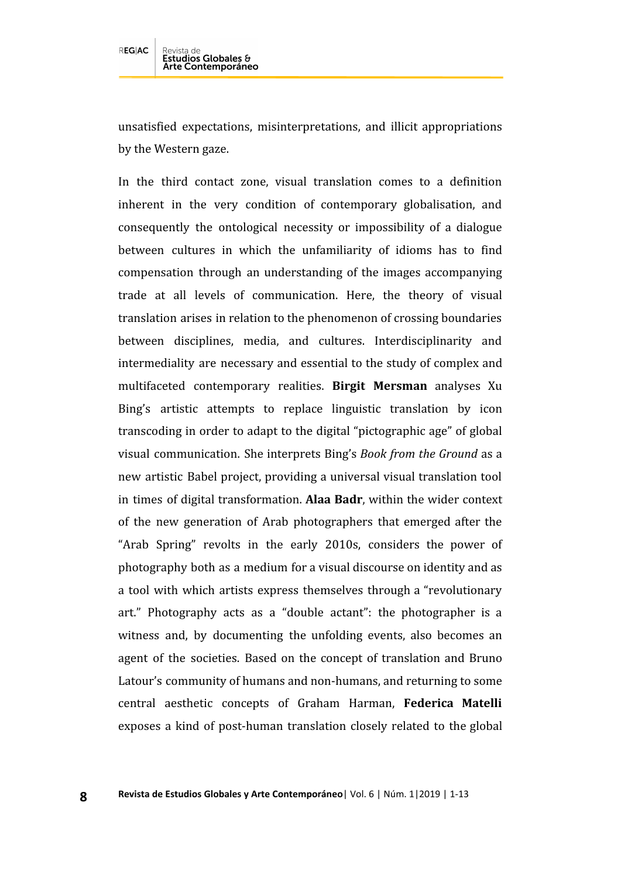unsatisfied expectations, misinterpretations, and illicit appropriations by the Western gaze.

In the third contact zone, visual translation comes to a definition inherent in the very condition of contemporary globalisation, and consequently the ontological necessity or impossibility of a dialogue between cultures in which the unfamiliarity of idioms has to find compensation through an understanding of the images accompanying trade at all levels of communication. Here, the theory of visual translation arises in relation to the phenomenon of crossing boundaries between disciplines, media, and cultures. Interdisciplinarity and intermediality are necessary and essential to the study of complex and multifaceted contemporary realities. **Birgit Mersman** analyses Xu Bing's artistic attempts to replace linguistic translation by icon transcoding in order to adapt to the digital "pictographic age" of global visual communication. She interprets Bing's *Book from the Ground* as a new artistic Babel project, providing a universal visual translation tool in times of digital transformation. **Alaa Badr**, within the wider context of the new generation of Arab photographers that emerged after the "Arab Spring" revolts in the early 2010s, considers the power of photography both as a medium for a visual discourse on identity and as a tool with which artists express themselves through a "revolutionary art." Photography acts as a "double actant": the photographer is a witness and, by documenting the unfolding events, also becomes an agent of the societies. Based on the concept of translation and Bruno Latour's community of humans and non-humans, and returning to some central aesthetic concepts of Graham Harman, **Federica Matelli** exposes a kind of post-human translation closely related to the global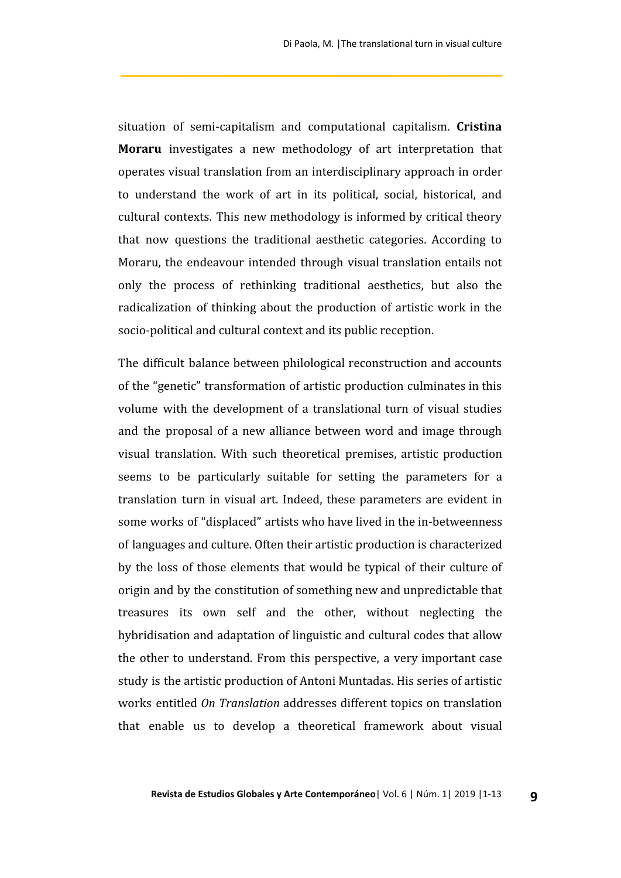situation of semi-capitalism and computational capitalism. **Cristina Moraru** investigates a new methodology of art interpretation that operates visual translation from an interdisciplinary approach in order to understand the work of art in its political, social, historical, and cultural contexts. This new methodology is informed by critical theory that now questions the traditional aesthetic categories. According to Moraru, the endeavour intended through visual translation entails not only the process of rethinking traditional aesthetics, but also the radicalization of thinking about the production of artistic work in the socio-political and cultural context and its public reception.

The difficult balance between philological reconstruction and accounts of the "genetic" transformation of artistic production culminates in this volume with the development of a translational turn of visual studies and the proposal of a new alliance between word and image through visual translation. With such theoretical premises, artistic production seems to be particularly suitable for setting the parameters for a translation turn in visual art. Indeed, these parameters are evident in some works of "displaced" artists who have lived in the in-betweenness of languages and culture. Often their artistic production is characterized by the loss of those elements that would be typical of their culture of origin and by the constitution of something new and unpredictable that treasures its own self and the other, without neglecting the hybridisation and adaptation of linguistic and cultural codes that allow the other to understand. From this perspective, a very important case study is the artistic production of Antoni Muntadas. His series of artistic works entitled *On Translation* addresses different topics on translation that enable us to develop a theoretical framework about visual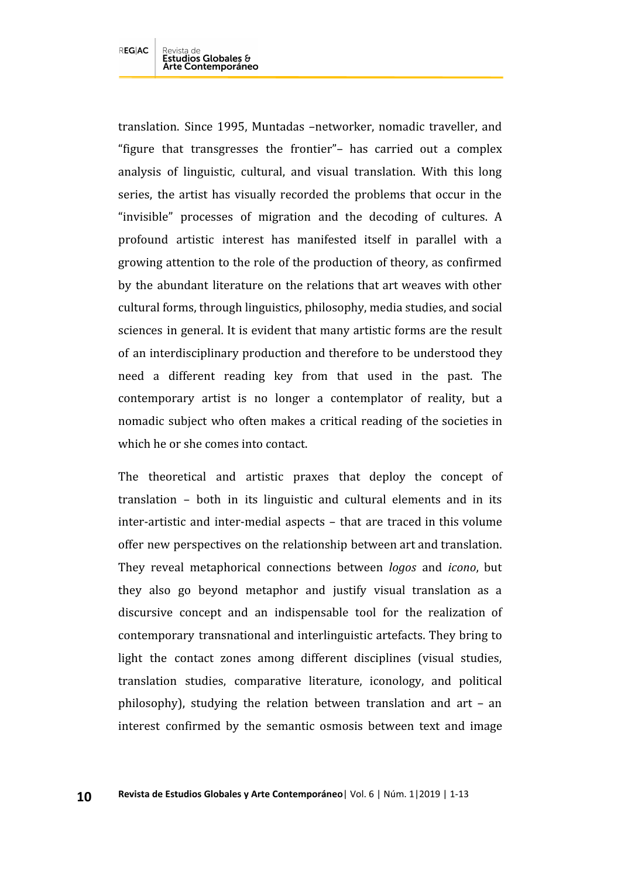translation. Since 1995, Muntadas –networker, nomadic traveller, and "figure that transgresses the frontier"– has carried out a complex analysis of linguistic, cultural, and visual translation. With this long series, the artist has visually recorded the problems that occur in the "invisible" processes of migration and the decoding of cultures. A profound artistic interest has manifested itself in parallel with a growing attention to the role of the production of theory, as confirmed by the abundant literature on the relations that art weaves with other cultural forms, through linguistics, philosophy, media studies, and social sciences in general. It is evident that many artistic forms are the result of an interdisciplinary production and therefore to be understood they need a different reading key from that used in the past. The contemporary artist is no longer a contemplator of reality, but a nomadic subject who often makes a critical reading of the societies in which he or she comes into contact.

The theoretical and artistic praxes that deploy the concept of translation – both in its linguistic and cultural elements and in its inter-artistic and inter-medial aspects – that are traced in this volume offer new perspectives on the relationship between art and translation. They reveal metaphorical connections between *logos* and *icono*, but they also go beyond metaphor and justify visual translation as a discursive concept and an indispensable tool for the realization of contemporary transnational and interlinguistic artefacts. They bring to light the contact zones among different disciplines (visual studies, translation studies, comparative literature, iconology, and political philosophy), studying the relation between translation and art – an interest confirmed by the semantic osmosis between text and image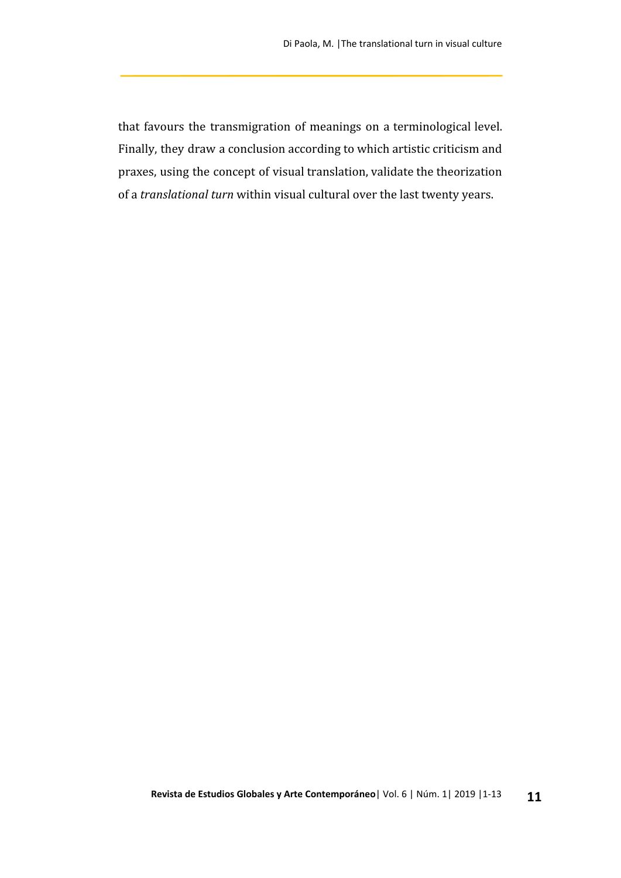that favours the transmigration of meanings on a terminological level. Finally, they draw a conclusion according to which artistic criticism and praxes, using the concept of visual translation, validate the theorization of a *translational turn* within visual cultural over the last twenty years.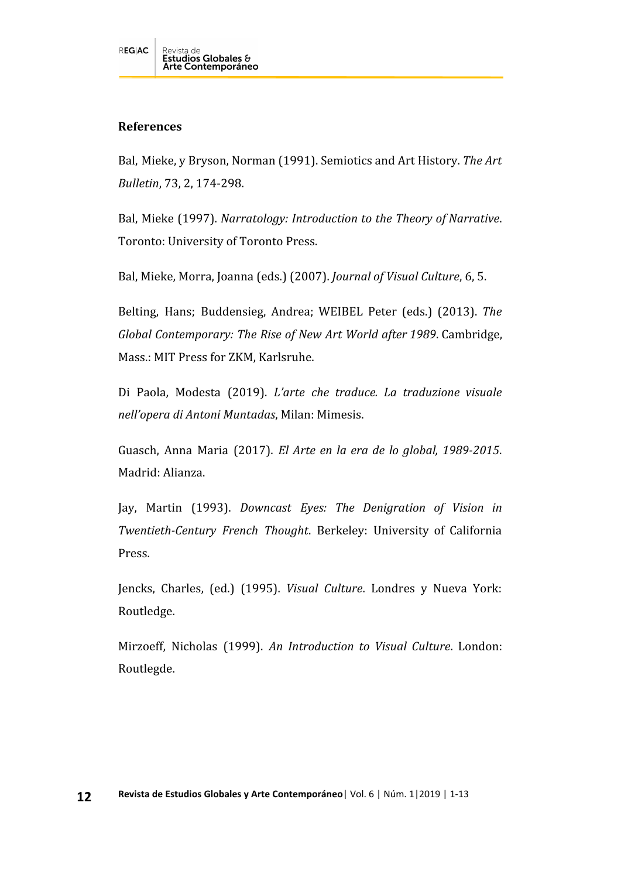## **References**

Bal, Mieke, y Bryson, Norman (1991). Semiotics and Art History. *The Art Bulletin*, 73, 2, 174-298.

Bal, Mieke (1997). *Narratology: Introduction to the Theory of Narrative*. Toronto: University of Toronto Press.

Bal, Mieke, Morra, Joanna (eds.) (2007). *Journal of Visual Culture*, 6, 5.

Belting, Hans; Buddensieg, Andrea; WEIBEL Peter (eds.) (2013). *The Global Contemporary: The Rise of New Art World after 1989*. Cambridge, Mass.: MIT Press for ZKM, Karlsruhe.

Di Paola, Modesta (2019). *L'arte che traduce. La traduzione visuale nell'opera di Antoni Muntadas*, Milan: Mimesis.

Guasch, Anna Maria (2017). *El Arte en la era de lo global, 1989-2015*. Madrid: Alianza.

Jay, Martin (1993). *Downcast Eyes: The Denigration of Vision in Twentieth-Century French Thought*. Berkeley: University of California Press.

Jencks, Charles, (ed.) (1995). *Visual Culture*. Londres y Nueva York: Routledge.

Mirzoeff, Nicholas (1999). *An Introduction to Visual Culture*. London: Routlegde.